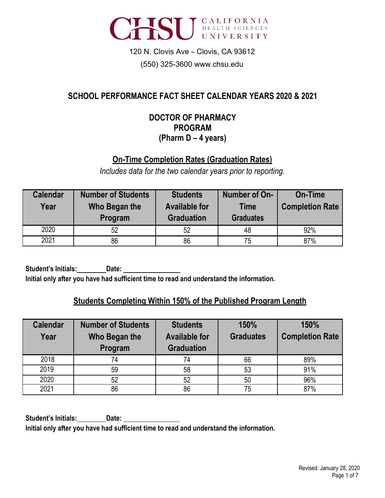

# 120 N. Clovis Ave – Clovis, CA 93612 (550) 325-3600 [www.chsu.edu](http://www.chsu.edu/)

# **SCHOOL PERFORMANCE FACT SHEET CALENDAR YEARS 2020 & 2021**

#### **DOCTOR OF PHARMACY PROGRAM (Pharm D – 4 years)**

## **On-Time Completion Rates (Graduation Rates)**

*Includes data for the two calendar years prior to reporting.*

| <b>Calendar</b><br>Year | <b>Number of Students</b><br>Who Began the<br>Program | <b>Students</b><br><b>Available for</b><br><b>Graduation</b> | Number of On-<br><b>Time</b><br><b>Graduates</b> | <b>On-Time</b><br><b>Completion Rate</b> |
|-------------------------|-------------------------------------------------------|--------------------------------------------------------------|--------------------------------------------------|------------------------------------------|
| 2020                    | 52                                                    | 52                                                           | 48                                               | 92%                                      |
| 2021                    | 86                                                    | 86                                                           | 75                                               | 87%                                      |

**Student's Initials: Date: Initial only after you have had sufficient time to read and understand the information.**

## **Students Completing Within 150% of the Published Program Length**

| <b>Calendar</b> | <b>Number of Students</b> | <b>Students</b>      | 150%             | 150%                   |
|-----------------|---------------------------|----------------------|------------------|------------------------|
| Year            | Who Began the             | <b>Available for</b> | <b>Graduates</b> | <b>Completion Rate</b> |
|                 | Program                   | <b>Graduation</b>    |                  |                        |
| 2018            | 74                        | 74                   | 66               | 89%                    |
| 2019            | 59                        | 58                   | 53               | 91%                    |
| 2020            | 52                        | 52                   | 50               | 96%                    |
| 2021            | 86                        | 86                   | 75               | 87%                    |

**Student's Initials: Date: Initial only after you have had sufficient time to read and understand the information.**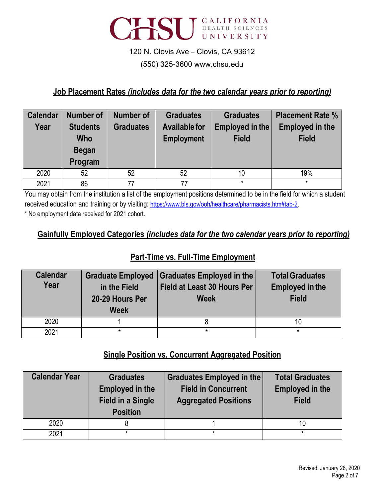

#### (550) 325-3600 [www.chsu.edu](http://www.chsu.edu/)

#### **Job Placement Rates** *(includes data for the two calendar years prior to reporting)*

| <b>Calendar</b> | Number of       | Number of        | <b>Graduates</b>     | <b>Graduates</b> | <b>Placement Rate %</b> |
|-----------------|-----------------|------------------|----------------------|------------------|-------------------------|
| Year            | <b>Students</b> | <b>Graduates</b> | <b>Available for</b> | Employed in the  | <b>Employed in the</b>  |
|                 | <b>Who</b>      |                  | <b>Employment</b>    | <b>Field</b>     | <b>Field</b>            |
|                 | <b>Began</b>    |                  |                      |                  |                         |
|                 | Program         |                  |                      |                  |                         |
| 2020            | 52              | 52               | 52                   | 10               | 19%                     |
| 2021            | 86              | 77               | 77                   | $\star$          | $\star$                 |

You may obtain from the institution a list of the employment positions determined to be in the field for which a student received education and training or by visiting: [https://www.bls.gov/ooh/healthcare/pharmacists.htm#tab-2.](https://www.bls.gov/ooh/healthcare/pharmacists.htm#tab-2) \* No employment data received for 2021 cohort.

#### **Gainfully Employed Categories** *(includes data for the two calendar years prior to reporting)*

## **Part-Time vs. Full-Time Employment**

| <b>Calendar</b><br>Year | <b>Graduate Employed</b><br>in the Field<br>20-29 Hours Per<br><b>Week</b> | Graduates Employed in the<br><b>Field at Least 30 Hours Per</b><br><b>Week</b> | <b>Total Graduates</b><br><b>Employed in the</b><br><b>Field</b> |
|-------------------------|----------------------------------------------------------------------------|--------------------------------------------------------------------------------|------------------------------------------------------------------|
| 2020                    |                                                                            |                                                                                | 10                                                               |
| 2021                    | $\star$                                                                    | $\star$                                                                        | *                                                                |

#### **Single Position vs. Concurrent Aggregated Position**

| <b>Calendar Year</b> | <b>Graduates</b><br><b>Employed in the</b><br><b>Field in a Single</b><br><b>Position</b> | Graduates Employed in the<br><b>Field in Concurrent</b><br><b>Aggregated Positions</b> | <b>Total Graduates</b><br><b>Employed in the</b><br><b>Field</b> |
|----------------------|-------------------------------------------------------------------------------------------|----------------------------------------------------------------------------------------|------------------------------------------------------------------|
| 2020                 |                                                                                           |                                                                                        |                                                                  |
| 2021                 | $\star$                                                                                   | $\star$                                                                                | $\star$                                                          |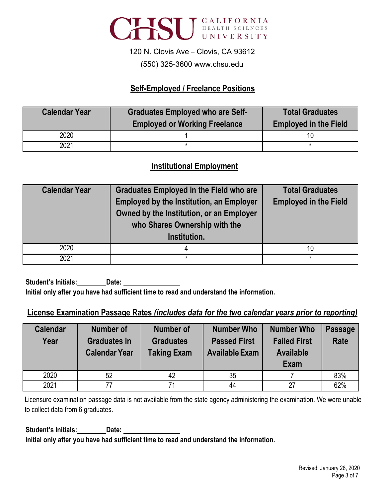

#### (550) 325-3600 [www.chsu.edu](http://www.chsu.edu/)

#### **Self-Employed / Freelance Positions**

| <b>Calendar Year</b> | <b>Graduates Employed who are Self-</b><br><b>Employed or Working Freelance</b> | <b>Total Graduates</b><br><b>Employed in the Field</b> |
|----------------------|---------------------------------------------------------------------------------|--------------------------------------------------------|
| 2020                 |                                                                                 |                                                        |
| 2021                 |                                                                                 |                                                        |

#### **Institutional Employment**

| <b>Calendar Year</b> | <b>Graduates Employed in the Field who are</b><br><b>Employed by the Institution, an Employer</b><br>Owned by the Institution, or an Employer<br>who Shares Ownership with the<br>Institution. | <b>Total Graduates</b><br><b>Employed in the Field</b> |
|----------------------|------------------------------------------------------------------------------------------------------------------------------------------------------------------------------------------------|--------------------------------------------------------|
| 2020                 |                                                                                                                                                                                                | 10                                                     |
| 2021                 | $\star$                                                                                                                                                                                        |                                                        |

**Student's Initials: Date: Initial only after you have had sufficient time to read and understand the information.**

## **License Examination Passage Rates** *(includes data for the two calendar years prior to reporting)*

| <b>Calendar</b><br>Year | <b>Number of</b><br><b>Graduates in</b><br><b>Calendar Year</b> | <b>Number of</b><br><b>Graduates</b><br><b>Taking Exam</b> | <b>Number Who</b><br><b>Passed First</b><br><b>Available Exam</b> | <b>Number Who</b><br><b>Failed First</b><br><b>Available</b><br><b>Exam</b> | <b>Passage</b><br><b>Rate</b> |
|-------------------------|-----------------------------------------------------------------|------------------------------------------------------------|-------------------------------------------------------------------|-----------------------------------------------------------------------------|-------------------------------|
| 2020                    | 52                                                              | 42                                                         | 35                                                                |                                                                             | 83%                           |
| 2021                    | 77                                                              | 71                                                         | 44                                                                | 27                                                                          | 62%                           |

Licensure examination passage data is not available from the state agency administering the examination. We were unable to collect data from 6 graduates.

**Student's Initials: Date: Initial only after you have had sufficient time to read and understand the information.**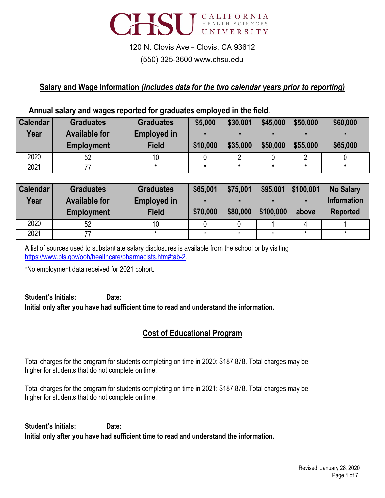

## 120 N. Clovis Ave – Clovis, CA 93612 (550) 325-3600 [www.chsu.edu](http://www.chsu.edu/)

# **Salary and Wage Information** *(includes data for the two calendar years prior to reporting)*

#### **Annual salary and wages reported for graduates employed in the field.**

| <b>Calendar</b> | <b>Graduates</b>     | <b>Graduates</b>   | \$5,000  | \$30,001 | \$45,000 | \$50,000 | \$60,000 |
|-----------------|----------------------|--------------------|----------|----------|----------|----------|----------|
| Year            | <b>Available for</b> | <b>Employed in</b> |          |          | -        |          |          |
|                 | <b>Employment</b>    | <b>Field</b>       | \$10,000 | \$35,000 | \$50,000 | \$55,000 | \$65,000 |
| 2020            | 52                   | 10                 |          |          |          |          |          |
| 2021            |                      |                    | *        |          |          |          |          |

| <b>Calendar</b><br>Year | <b>Graduates</b><br><b>Available for</b><br><b>Employment</b> | <b>Graduates</b><br><b>Employed in</b><br><b>Field</b> | \$65,001<br>\$70,000 | \$75,001<br>\$80,000 | \$95,001<br>\$100,000 | \$100.001<br>above | <b>No Salary</b><br><b>Information</b><br><b>Reported</b> |
|-------------------------|---------------------------------------------------------------|--------------------------------------------------------|----------------------|----------------------|-----------------------|--------------------|-----------------------------------------------------------|
| 2020                    | 52                                                            |                                                        |                      |                      |                       |                    |                                                           |
| 2021                    |                                                               |                                                        |                      |                      |                       |                    |                                                           |

A list of sources used to substantiate salary disclosures is available from the school or by visiting [https://www.bls.gov/ooh/healthcare/pharmacists.htm#tab-2.](https://www.bls.gov/ooh/healthcare/pharmacists.htm#tab-2)

\*No employment data received for 2021 cohort.

#### **Student's Initials: Date: Initial only after you have had sufficient time to read and understand the information.**

## **Cost of Educational Program**

Total charges for the program for students completing on time in 2020: \$187,878. Total charges may be higher for students that do not complete on time.

Total charges for the program for students completing on time in 2021: \$187,878. Total charges may be higher for students that do not complete on time.

**Student's Initials: Date: Initial only after you have had sufficient time to read and understand the information.**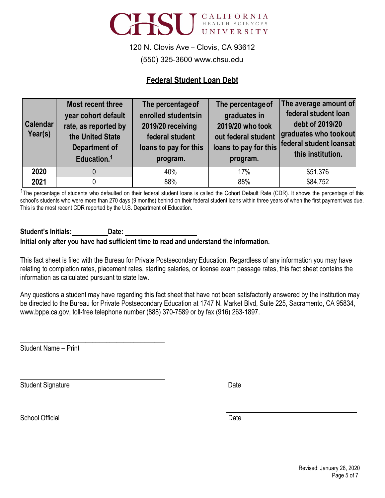

(550) 325-3600 [www.chsu.edu](http://www.chsu.edu/)

#### **Federal Student Loan Debt**

| <b>Calendar</b><br>Year(s) | Most recent three<br>year cohort default<br>rate, as reported by<br>the United State<br><b>Department of</b><br>Education. <sup>1</sup> | The percentage of<br>enrolled students in<br>2019/20 receiving<br>federal student<br>loans to pay for this<br>program. | The percentage of<br>graduates in<br>2019/20 who took<br>out federal student<br>program. | The average amount of<br>federal student loan<br>debt of 2019/20<br>graduates who tookout<br>loans to pay for this federal student loansat<br>this institution. |
|----------------------------|-----------------------------------------------------------------------------------------------------------------------------------------|------------------------------------------------------------------------------------------------------------------------|------------------------------------------------------------------------------------------|-----------------------------------------------------------------------------------------------------------------------------------------------------------------|
| 2020                       |                                                                                                                                         | 40%                                                                                                                    | 17%                                                                                      | \$51,376                                                                                                                                                        |
| 2021                       |                                                                                                                                         | 88%                                                                                                                    | 88%                                                                                      | \$84,752                                                                                                                                                        |

<sup>1</sup>The percentage of students who defaulted on their federal student loans is called the Cohort Default Rate (CDR). It shows the percentage of this school's students who were more than 270 days (9 months) behind on their federal student loans within three years of when the first payment was due. This is the most recent CDR reported by the U.S. Department of Education.

#### **Student's Initials: Date: Initial only after you have had sufficient time to read and understand the information.**

This fact sheet is filed with the Bureau for Private Postsecondary Education. Regardless of any information you may have relating to completion rates, placement rates, starting salaries, or license exam passage rates, this fact sheet contains the information as calculated pursuant to state law.

Any questions a student may have regarding this fact sheet that have not been satisfactorily answered by the institution may be directed to the Bureau for Private Postsecondary Education at 1747 N. Market Blvd, Suite 225, Sacramento, CA 95834, [www.bppe.ca.gov, to](http://www.bppe.ca.gov/)ll-free telephone number (888) 370-7589 or by fax (916) 263-1897.

Student Name – Print

**\_\_\_\_\_\_\_\_\_\_\_\_\_\_\_\_\_\_\_\_\_\_\_\_\_\_\_\_\_\_\_\_\_\_\_\_\_\_\_\_\_\_**

Student Signature Date Date Controllers and Date Date Date Date

School Official Date and Date Date of the United School Official Date Date Date Date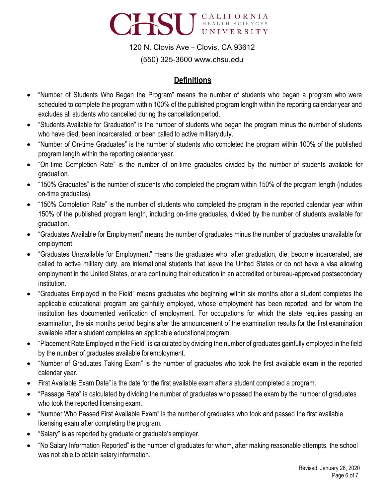

(550) 325-3600 [www.chsu.edu](http://www.chsu.edu/)

## **Definitions**

- "Number of Students Who Began the Program" means the number of students who began a program who were scheduled to complete the program within 100% of the published program length within the reporting calendar year and excludes all students who cancelled during the cancellation period.
- "Students Available for Graduation" is the number of students who began the program minus the number of students who have died, been incarcerated, or been called to active military duty.
- "Number of On-time Graduates" is the number of students who completed the program within 100% of the published program length within the reporting calendar year.
- "On-time Completion Rate" is the number of on-time graduates divided by the number of students available for graduation.
- "150% Graduates" is the number of students who completed the program within 150% of the program length (includes on-time graduates).
- "150% Completion Rate" is the number of students who completed the program in the reported calendar year within 150% of the published program length, including on-time graduates, divided by the number of students available for graduation.
- "Graduates Available for Employment" means the number of graduates minus the number of graduates unavailable for employment.
- "Graduates Unavailable for Employment" means the graduates who, after graduation, die, become incarcerated, are called to active military duty, are international students that leave the United States or do not have a visa allowing employment in the United States, or are continuing their education in an accredited or bureau-approved postsecondary institution.
- "Graduates Employed in the Field" means graduates who beginning within six months after a student completes the applicable educational program are gainfully employed, whose employment has been reported, and for whom the institution has documented verification of employment. For occupations for which the state requires passing an examination, the six months period begins after the announcement of the examination results for the first examination available after a student completes an applicable educationalprogram.
- "Placement Rate Employed in the Field" is calculated by dividing the number of graduates gainfully employed in the field by the number of graduates available foremployment.
- "Number of Graduates Taking Exam" is the number of graduates who took the first available exam in the reported calendar year.
- First Available Exam Date" is the date for the first available exam after a student completed a program.
- "Passage Rate" is calculated by dividing the number of graduates who passed the exam by the number of graduates who took the reported licensing exam.
- "Number Who Passed First Available Exam" is the number of graduates who took and passed the first available licensing exam after completing the program.
- "Salary" is as reported by graduate or graduate's employer.
- "No Salary Information Reported" is the number of graduates for whom, after making reasonable attempts, the school was not able to obtain salary information.